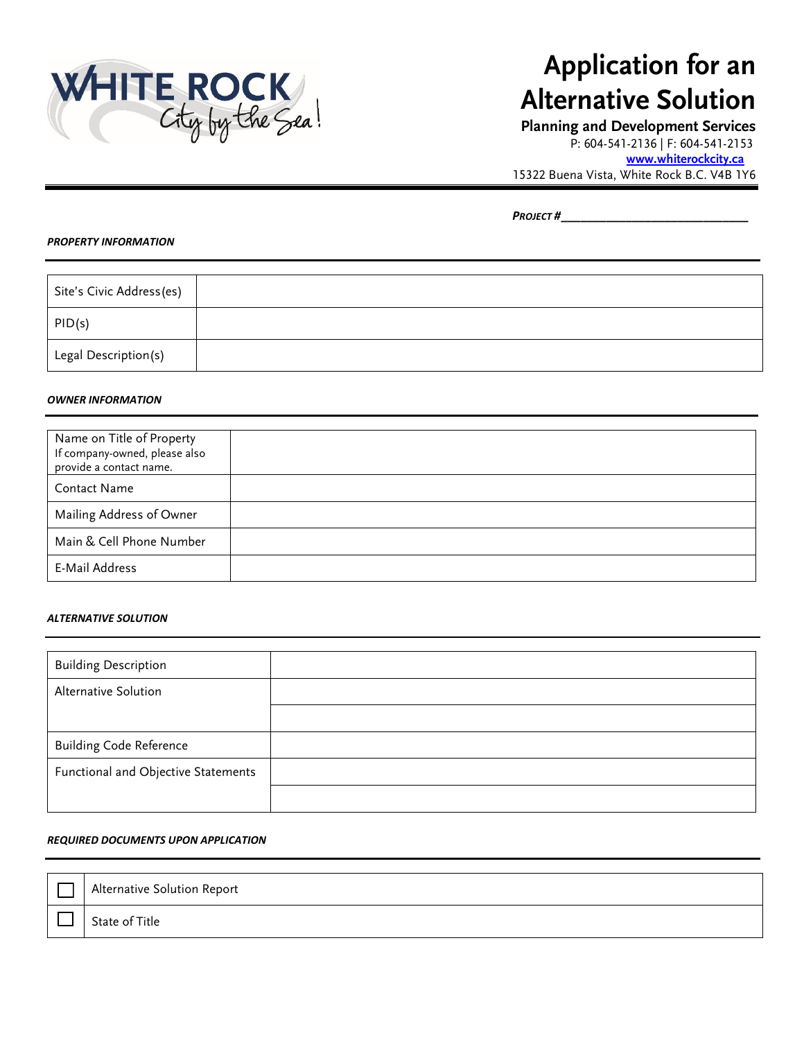

# **Application for an Alternative Solution**

**Planning and Development Services**  P: 604-541-2136 | F: 604-541-2153

**[www.whiterockcity.ca](http://www.whiterockcity.ca/)**

15322 Buena Vista, White Rock B.C. V4B 1Y6

*PROJECT #\_\_\_\_\_\_\_\_\_\_\_\_\_\_\_\_\_\_\_\_\_\_\_\_\_\_\_\_\_*

#### *PROPERTY INFORMATION*

| Site's Civic Address(es) |  |
|--------------------------|--|
| PID(s)                   |  |
| Legal Description(s)     |  |

#### *OWNER INFORMATION*

| Name on Title of Property<br>If company-owned, please also<br>provide a contact name. |  |
|---------------------------------------------------------------------------------------|--|
| Contact Name                                                                          |  |
| Mailing Address of Owner                                                              |  |
| Main & Cell Phone Number                                                              |  |
| E-Mail Address                                                                        |  |

### *ALTERNATIVE SOLUTION*

| <b>Building Description</b>         |  |
|-------------------------------------|--|
| Alternative Solution                |  |
|                                     |  |
| <b>Building Code Reference</b>      |  |
| Functional and Objective Statements |  |
|                                     |  |

#### *REQUIRED DOCUMENTS UPON APPLICATION*

| Alternative Solution Report |
|-----------------------------|
| State of Title              |